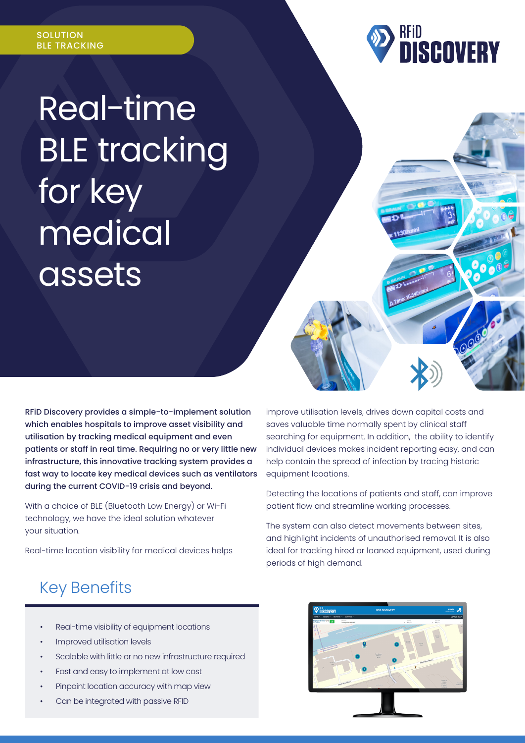

# Real-time BLE tracking for key medical assets

RFiD Discovery provides a simple-to-implement solution which enables hospitals to improve asset visibility and utilisation by tracking medical equipment and even patients or staff in real time. Requiring no or very little new infrastructure, this innovative tracking system provides a fast way to locate key medical devices such as ventilators during the current COVID-19 crisis and beyond.

With a choice of BLE (Bluetooth Low Energy) or Wi-Fi technology, we have the ideal solution whatever your situation.

Real-time location visibility for medical devices helps

improve utilisation levels, drives down capital costs and saves valuable time normally spent by clinical staff searching for equipment. In addition, the ability to identify individual devices makes incident reporting easy, and can help contain the spread of infection by tracing historic equipment lcoations.

Detecting the locations of patients and staff, can improve patient flow and streamline working processes.

The system can also detect movements between sites, and highlight incidents of unauthorised removal. It is also ideal for tracking hired or loaned equipment, used during periods of high demand.

# Key Benefits

- Real-time visibility of equipment locations
- Improved utilisation levels
- Scalable with little or no new infrastructure required
- Fast and easy to implement at low cost
- Pinpoint location accuracy with map view
- Can be integrated with passive RFID